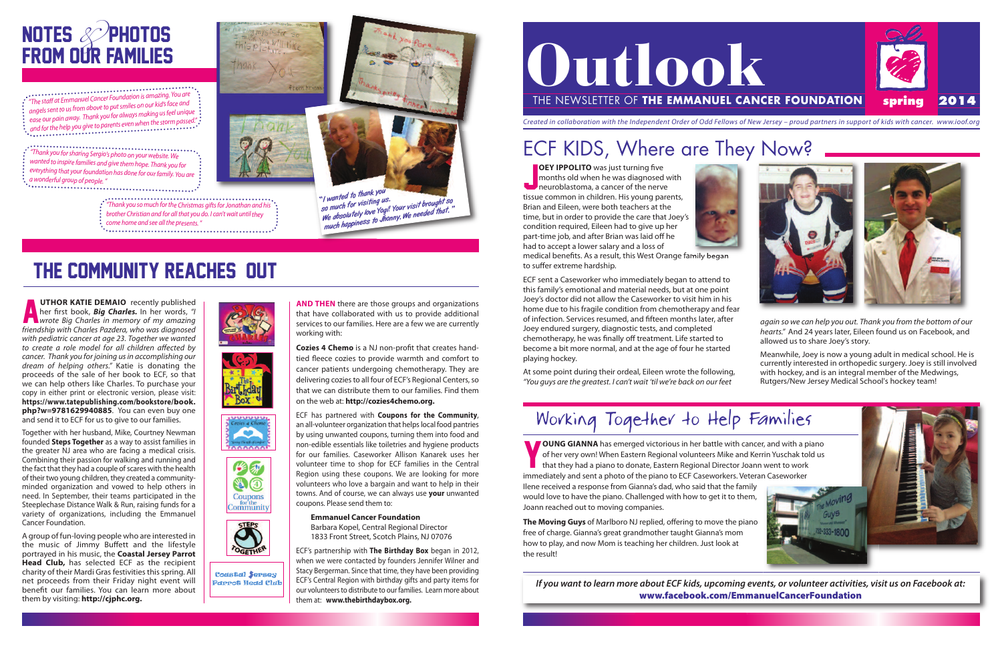





**OUNG GIANNA** has emerged victorious in her battle with cancer, and with a piano of her very own! When Eastern Regional volunteers Mike and Kerrin Yuschak told us that they had a piano to donate, Eastern Regional Director of her very own! When Eastern Regional volunteers Mike and Kerrin Yuschak told us **that they had a piano to donate, Eastern Regional Director Joann went to work** immediately and sent a photo of the piano to ECF Caseworkers. Veteran Caseworker Ilene received a response from Gianna's dad, who said that the family would love to have the piano. Challenged with how to get it to them, Joann reached out to moving companies.

**OEY IPPOLITO** was just turning five<br>months old when he was diagnosed v<br>neuroblastoma, a cancer of the nerve **OEY IPPOLITO** was just turning five months old when he was diagnosed with tissue common in children. His young parents, Brian and Eileen, were both teachers at the time, but in order to provide the care that Joey's condition required, Eileen had to give up her part-time job, and after Brian was laid off he had to accept a lower salary and a loss of



**The Moving Guys** of Marlboro NJ replied, offering to move the piano free of charge. Gianna's great grandmother taught Gianna's mom how to play, and now Mom is teaching her children. Just look at the result!

If you want to learn more about ECF kids, upcoming events, or volunteer activities, visit us on Facebook at: **www.facebook.com/EmmanuelCancerFoundation**













medical benefits. As a result, this West Orange family began to suffer extreme hardship.

ECF sent a Caseworker who immediately began to attend to this family's emotional and material needs, but at one point Joey's doctor did not allow the Caseworker to visit him in his home due to his fragile condition from chemotherapy and fear of infection. Services resumed, and fifteen months later, after Joey endured surgery, diagnostic tests, and completed chemotherapy, he was finally off treatment. Life started to become a bit more normal, and at the age of four he started playing hockey.

**A UTHOR KATIE DEMAIO** recently published<br>her first book, **Big Charles.** In her words, "I<br>wrote Big Charles in memory of my amazing **UTHOR KATIE DEMAIO** recently published her first book, *Big Charles.* In her words, "I friendship with Charles Pazdera, who was diagnosed with pediatric cancer at age 23. Together we wanted to create a role model for all children affected by cancer. Thank you for joining us in accomplishing our dream of helping others." Katie is donating the proceeds of the sale of her book to ECF, so that we can help others like Charles. To purchase your copy in either print or electronic version, please visit: **https://www.tatepublishing.com/bookstore/book. php?w=9781629940885**. You can even buy one and send it to ECF for us to give to our families.

At some point during their ordeal, Eileen wrote the following, "You guys are the greatest. I can't wait 'til we're back on our feet

## Working Together to Help Families

again so we can help you out. Thank you from the bottom of our hearts." And 24 years later, Eileen found us on Facebook, and allowed us to share Joey's story.

## NOTES & PHOTOS **FROM OUR FAMILIES**

"The staff at Emmanuel Cancer Foundation is amazing. You are angels sent to us from above to put smiles on our kid's face and ease our pain away. Thank you for always making usfeel unique and for the help you give to parents even when the storm passed.".

> Meanwhile, Joey is now a young adult in medical school. He is currently interested in orthopedic surgery. Joey is still involved with hockey, and is an integral member of the Medwings, Rutgers/New Jersey Medical School's hockey team!



Together with her husband, Mike, Courtney Newman founded **Steps Together** as a way to assist families in the greater NJ area who are facing a medical crisis. Combining their passion for walking and running and the fact that they had a couple of scares with the health of their two young children, they created a communityminded organization and vowed to help others in need. In September, their teams participated in the Steeplechase Distance Walk & Run, raising funds for a variety of organizations, including the Emmanuel Cancer Foundation.

A group of fun-loving people who are interested in the music of Jimmy Buffett and the lifestyle portrayed in his music, the **Coastal Jersey Parrot Head Club,** has selected ECF as the recipient charity of their Mardi Gras festivities this spring. All net proceeds from their Friday night event will benefit our families. You can learn more about them by visiting: **http://cjphc.org.**

### the community reaches out

## ECF KIDS, Where are They Now?

Created in collaboration with the Independent Order of Odd Fellows of New Jersey – proud partners in support of kids with cancer. www.ioof.org

"Thank you forsharing Sergio's photo on your website. We wanted to inspire families and give them hope. Thank you for everything that your foundation has done for our family. You are <sup>a</sup> wonderful group of people."

 $\cdots$   $\cdots$   $\cdots$   $\cdots$   $\cdots$   $\cdots$   $\cdots$   $\cdots$   $\cdots$   $\cdots$   $\cdots$   $\cdots$   $\cdots$   $\cdots$   $\cdots$   $\cdots$   $\cdots$   $\cdots$   $\cdots$   $\cdots$   $\cdots$   $\cdots$   $\cdots$   $\cdots$   $\cdots$   $\cdots$   $\cdots$   $\cdots$   $\cdots$   $\cdots$   $\cdots$   $\cdots$   $\cdots$   $\cdots$   $\cdots$   $\cdots$   $\cdots$ 

- brother Christian and for all that you do. <sup>I</sup> can't wait until they
- 



Thank you so much for the Christmas gifts for Jonathan and his "Thank you so much for the Christmas gifts for Jonathan and his "so much for visiting us.<br>Bother Christian and for all that you do. I can't wait until they "<br>c We assume to your topic to the mongol of the much happiness to Jhonny. We needed that."

#### **AND THEN** there are those groups and organizations that have collaborated with us to provide additional services to our families. Here are a few we are currently working with:

**Cozies 4 Chemo** is a NJ non-profit that creates handtied fleece cozies to provide warmth and comfort to cancer patients undergoing chemotherapy. They are delivering cozies to all four of ECF's Regional Centers, so that we can distribute them to our families. Find them on the web at: **http://cozies4chemo.org.**

ECF has partnered with **Coupons for the Community**, an all-volunteer organization that helps local food pantries by using unwanted coupons, turning them into food and non-edible essentials like toiletries and hygiene products for our families. Caseworker Allison Kanarek uses her volunteer time to shop for ECF families in the Central Region using these coupons. We are looking for more volunteers who love a bargain and want to help in their towns. And of course, we can always use **your** unwanted coupons. Please send them to:

#### **Emmanuel Cancer Foundation**

Barbara Kopel, Central Regional Director 1833 Front Street, Scotch Plains, NJ 07076

ECF's partnership with **The Birthday Box** began in 2012, when we were contacted by founders Jennifer Wilner and Stacy Bergerman. Since that time, they have been providing ECF's Central Region with birthday gifts and party items for our volunteers to distribute to our families. Learn more about them at: **www.thebirthdaybox.org.**

# **OUTED OF THE EMMANUEL CANG**